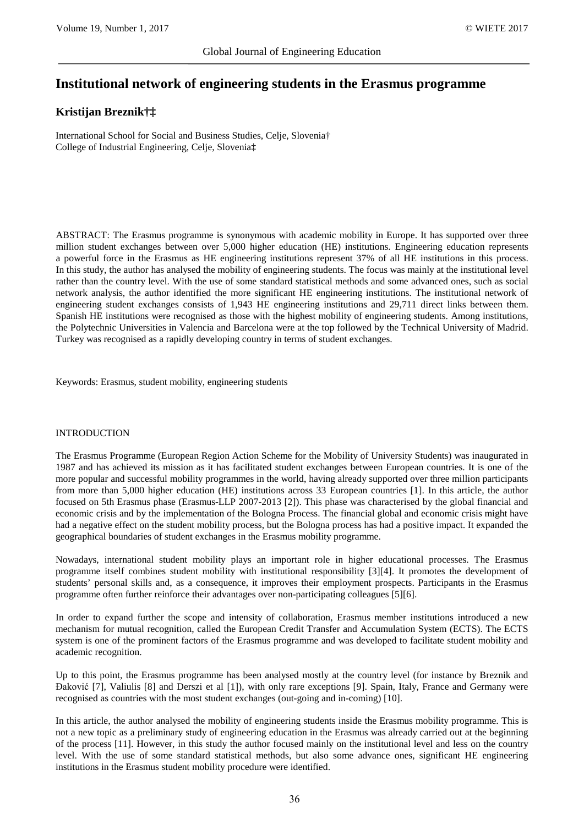# **Institutional network of engineering students in the Erasmus programme**

# **Kristijan Breznik†‡**

International School for Social and Business Studies, Celje, Slovenia† College of Industrial Engineering, Celje, Slovenia‡

ABSTRACT: The Erasmus programme is synonymous with academic mobility in Europe. It has supported over three million student exchanges between over 5,000 higher education (HE) institutions. Engineering education represents a powerful force in the Erasmus as HE engineering institutions represent 37% of all HE institutions in this process. In this study, the author has analysed the mobility of engineering students. The focus was mainly at the institutional level rather than the country level. With the use of some standard statistical methods and some advanced ones, such as social network analysis, the author identified the more significant HE engineering institutions. The institutional network of engineering student exchanges consists of 1,943 HE engineering institutions and 29,711 direct links between them. Spanish HE institutions were recognised as those with the highest mobility of engineering students. Among institutions, the Polytechnic Universities in Valencia and Barcelona were at the top followed by the Technical University of Madrid. Turkey was recognised as a rapidly developing country in terms of student exchanges.

Keywords: Erasmus, student mobility, engineering students

## INTRODUCTION

The Erasmus Programme (European Region Action Scheme for the Mobility of University Students) was inaugurated in 1987 and has achieved its mission as it has facilitated student exchanges between European countries. It is one of the more popular and successful mobility programmes in the world, having already supported over three million participants from more than 5,000 higher education (HE) institutions across 33 European countries [1]. In this article, the author focused on 5th Erasmus phase (Erasmus-LLP 2007-2013 [2]). This phase was characterised by the global financial and economic crisis and by the implementation of the Bologna Process. The financial global and economic crisis might have had a negative effect on the student mobility process, but the Bologna process has had a positive impact. It expanded the geographical boundaries of student exchanges in the Erasmus mobility programme.

Nowadays, international student mobility plays an important role in higher educational processes. The Erasmus programme itself combines student mobility with institutional responsibility [3][4]. It promotes the development of students' personal skills and, as a consequence, it improves their employment prospects. Participants in the Erasmus programme often further reinforce their advantages over non-participating colleagues [5][6].

In order to expand further the scope and intensity of collaboration, Erasmus member institutions introduced a new mechanism for mutual recognition, called the European Credit Transfer and Accumulation System (ECTS). The ECTS system is one of the prominent factors of the Erasmus programme and was developed to facilitate student mobility and academic recognition.

Up to this point, the Erasmus programme has been analysed mostly at the country level (for instance by Breznik and Đaković [7], Valiulis [8] and Derszi et al [1]), with only rare exceptions [9]. Spain, Italy, France and Germany were recognised as countries with the most student exchanges (out-going and in-coming) [10].

In this article, the author analysed the mobility of engineering students inside the Erasmus mobility programme. This is not a new topic as a preliminary study of engineering education in the Erasmus was already carried out at the beginning of the process [11]. However, in this study the author focused mainly on the institutional level and less on the country level. With the use of some standard statistical methods, but also some advance ones, significant HE engineering institutions in the Erasmus student mobility procedure were identified.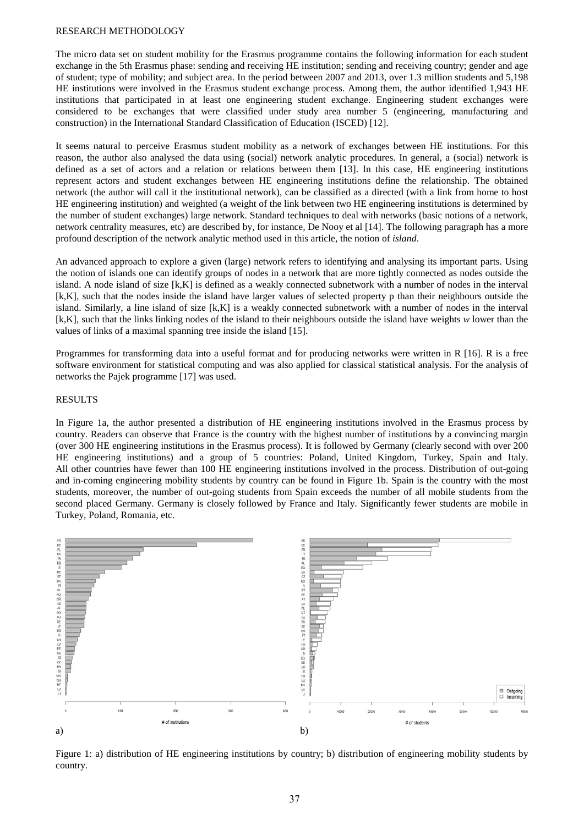#### RESEARCH METHODOLOGY

The micro data set on student mobility for the Erasmus programme contains the following information for each student exchange in the 5th Erasmus phase: sending and receiving HE institution; sending and receiving country; gender and age of student; type of mobility; and subject area. In the period between 2007 and 2013, over 1.3 million students and 5,198 HE institutions were involved in the Erasmus student exchange process. Among them, the author identified 1,943 HE institutions that participated in at least one engineering student exchange. Engineering student exchanges were considered to be exchanges that were classified under study area number 5 (engineering, manufacturing and construction) in the International Standard Classification of Education (ISCED) [12].

It seems natural to perceive Erasmus student mobility as a network of exchanges between HE institutions. For this reason, the author also analysed the data using (social) network analytic procedures. In general, a (social) network is defined as a set of actors and a relation or relations between them [13]. In this case, HE engineering institutions represent actors and student exchanges between HE engineering institutions define the relationship. The obtained network (the author will call it the institutional network), can be classified as a directed (with a link from home to host HE engineering institution) and weighted (a weight of the link between two HE engineering institutions is determined by the number of student exchanges) large network. Standard techniques to deal with networks (basic notions of a network, network centrality measures, etc) are described by, for instance, De Nooy et al [14]. The following paragraph has a more profound description of the network analytic method used in this article, the notion of *island*.

An advanced approach to explore a given (large) network refers to identifying and analysing its important parts. Using the notion of islands one can identify groups of nodes in a network that are more tightly connected as nodes outside the island. A node island of size [k,K] is defined as a weakly connected subnetwork with a number of nodes in the interval [k,K], such that the nodes inside the island have larger values of selected property p than their neighbours outside the island. Similarly, a line island of size [k,K] is a weakly connected subnetwork with a number of nodes in the interval [k,K], such that the links linking nodes of the island to their neighbours outside the island have weights *w* lower than the values of links of a maximal spanning tree inside the island [15].

Programmes for transforming data into a useful format and for producing networks were written in R [16]. R is a free software environment for statistical computing and was also applied for classical statistical analysis. For the analysis of networks the Pajek programme [17] was used.

#### RESULTS

In Figure 1a, the author presented a distribution of HE engineering institutions involved in the Erasmus process by country. Readers can observe that France is the country with the highest number of institutions by a convincing margin (over 300 HE engineering institutions in the Erasmus process). It is followed by Germany (clearly second with over 200 HE engineering institutions) and a group of 5 countries: Poland, United Kingdom, Turkey, Spain and Italy. All other countries have fewer than 100 HE engineering institutions involved in the process. Distribution of out-going and in-coming engineering mobility students by country can be found in Figure 1b. Spain is the country with the most students, moreover, the number of out-going students from Spain exceeds the number of all mobile students from the second placed Germany. Germany is closely followed by France and Italy. Significantly fewer students are mobile in Turkey, Poland, Romania, etc.



Figure 1: a) distribution of HE engineering institutions by country; b) distribution of engineering mobility students by country.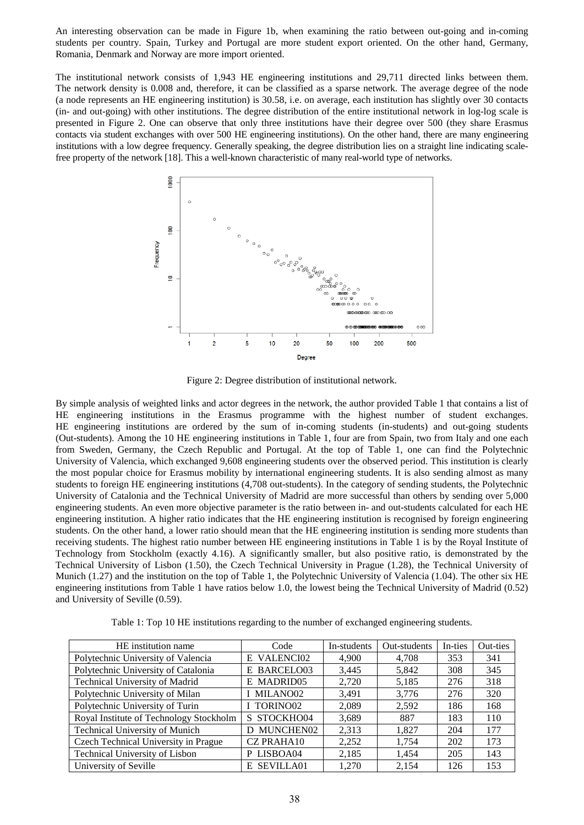An interesting observation can be made in Figure 1b, when examining the ratio between out-going and in-coming students per country. Spain, Turkey and Portugal are more student export oriented. On the other hand, Germany, Romania, Denmark and Norway are more import oriented.

The institutional network consists of 1,943 HE engineering institutions and 29,711 directed links between them. The network density is 0.008 and, therefore, it can be classified as a sparse network. The average degree of the node (a node represents an HE engineering institution) is 30.58, i.e. on average, each institution has slightly over 30 contacts (in- and out-going) with other institutions. The degree distribution of the entire institutional network in log-log scale is presented in Figure 2. One can observe that only three institutions have their degree over 500 (they share Erasmus contacts via student exchanges with over 500 HE engineering institutions). On the other hand, there are many engineering institutions with a low degree frequency. Generally speaking, the degree distribution lies on a straight line indicating scalefree property of the network [18]. This a well-known characteristic of many real-world type of networks.



Figure 2: Degree distribution of institutional network.

By simple analysis of weighted links and actor degrees in the network, the author provided Table 1 that contains a list of HE engineering institutions in the Erasmus programme with the highest number of student exchanges. HE engineering institutions are ordered by the sum of in-coming students (in-students) and out-going students (Out-students). Among the 10 HE engineering institutions in Table 1, four are from Spain, two from Italy and one each from Sweden, Germany, the Czech Republic and Portugal. At the top of Table 1, one can find the Polytechnic University of Valencia, which exchanged 9,608 engineering students over the observed period. This institution is clearly the most popular choice for Erasmus mobility by international engineering students. It is also sending almost as many students to foreign HE engineering institutions (4,708 out-students). In the category of sending students, the Polytechnic University of Catalonia and the Technical University of Madrid are more successful than others by sending over 5,000 engineering students. An even more objective parameter is the ratio between in- and out-students calculated for each HE engineering institution. A higher ratio indicates that the HE engineering institution is recognised by foreign engineering students. On the other hand, a lower ratio should mean that the HE engineering institution is sending more students than receiving students. The highest ratio number between HE engineering institutions in Table 1 is by the Royal Institute of Technology from Stockholm (exactly 4.16). A significantly smaller, but also positive ratio, is demonstrated by the Technical University of Lisbon (1.50), the Czech Technical University in Prague (1.28), the Technical University of Munich (1.27) and the institution on the top of Table 1, the Polytechnic University of Valencia (1.04). The other six HE engineering institutions from Table 1 have ratios below 1.0, the lowest being the Technical University of Madrid (0.52) and University of Seville (0.59).

Table 1: Top 10 HE institutions regarding to the number of exchanged engineering students.

| HE institution name                     | Code                   | In-students | Out-students | In-ties | Out-ties |
|-----------------------------------------|------------------------|-------------|--------------|---------|----------|
| Polytechnic University of Valencia      | <b>VALENCI02</b><br>E  | 4,900       | 4,708        | 353     | 341      |
| Polytechnic University of Catalonia     | <b>BARCELO03</b><br>E. | 3,445       | 5,842        | 308     | 345      |
| Technical University of Madrid          | E MADRID05             | 2,720       | 5,185        | 276     | 318      |
| Polytechnic University of Milan         | MILANO02               | 3,491       | 3,776        | 276     | 320      |
| Polytechnic University of Turin         | I TORINO02             | 2.089       | 2,592        | 186     | 168      |
| Royal Institute of Technology Stockholm | S STOCKHO04            | 3,689       | 887          | 183     | 110      |
| Technical University of Munich          | <b>D MUNCHEN02</b>     | 2,313       | 1,827        | 204     | 177      |
| Czech Technical University in Prague    | <b>CZ PRAHA10</b>      | 2,252       | 1.754        | 202     | 173      |
| Technical University of Lisbon          | P LISBOA04             | 2,185       | 1,454        | 205     | 143      |
| University of Seville                   | E SEVILLA01            | 1.270       | 2.154        | 126     | 153      |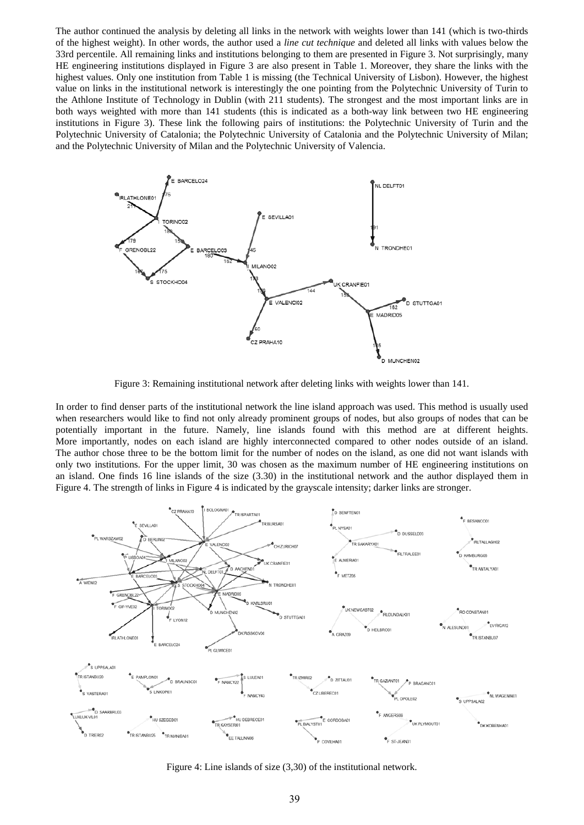The author continued the analysis by deleting all links in the network with weights lower than 141 (which is two-thirds of the highest weight). In other words, the author used a *line cut technique* and deleted all links with values below the 33rd percentile. All remaining links and institutions belonging to them are presented in Figure 3. Not surprisingly, many HE engineering institutions displayed in Figure 3 are also present in Table 1. Moreover, they share the links with the highest values. Only one institution from Table 1 is missing (the Technical University of Lisbon). However, the highest value on links in the institutional network is interestingly the one pointing from the Polytechnic University of Turin to the Athlone Institute of Technology in Dublin (with 211 students). The strongest and the most important links are in both ways weighted with more than 141 students (this is indicated as a both-way link between two HE engineering institutions in Figure 3). These link the following pairs of institutions: the Polytechnic University of Turin and the Polytechnic University of Catalonia; the Polytechnic University of Catalonia and the Polytechnic University of Milan; and the Polytechnic University of Milan and the Polytechnic University of Valencia.



Figure 3: Remaining institutional network after deleting links with weights lower than 141.

In order to find denser parts of the institutional network the line island approach was used. This method is usually used when researchers would like to find not only already prominent groups of nodes, but also groups of nodes that can be potentially important in the future. Namely, line islands found with this method are at different heights. More importantly, nodes on each island are highly interconnected compared to other nodes outside of an island. The author chose three to be the bottom limit for the number of nodes on the island, as one did not want islands with only two institutions. For the upper limit, 30 was chosen as the maximum number of HE engineering institutions on an island. One finds 16 line islands of the size (3.30) in the institutional network and the author displayed them in Figure 4. The strength of links in Figure 4 is indicated by the grayscale intensity; darker links are stronger.



Figure 4: Line islands of size (3,30) of the institutional network.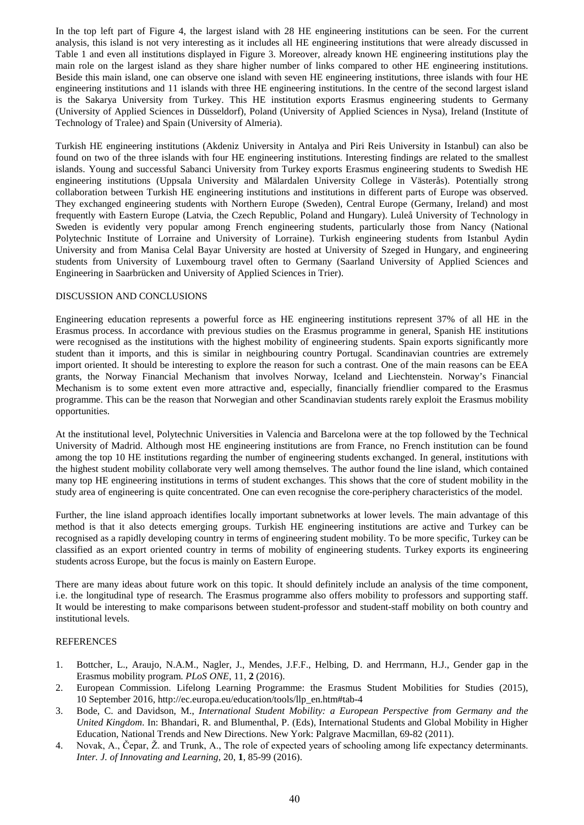In the top left part of Figure 4, the largest island with 28 HE engineering institutions can be seen. For the current analysis, this island is not very interesting as it includes all HE engineering institutions that were already discussed in Table 1 and even all institutions displayed in Figure 3. Moreover, already known HE engineering institutions play the main role on the largest island as they share higher number of links compared to other HE engineering institutions. Beside this main island, one can observe one island with seven HE engineering institutions, three islands with four HE engineering institutions and 11 islands with three HE engineering institutions. In the centre of the second largest island is the Sakarya University from Turkey. This HE institution exports Erasmus engineering students to Germany (University of Applied Sciences in Düsseldorf), Poland (University of Applied Sciences in Nysa), Ireland (Institute of Technology of Tralee) and Spain (University of Almeria).

Turkish HE engineering institutions (Akdeniz University in Antalya and Piri Reis University in Istanbul) can also be found on two of the three islands with four HE engineering institutions. Interesting findings are related to the smallest islands. Young and successful Sabanci University from Turkey exports Erasmus engineering students to Swedish HE engineering institutions (Uppsala University and Mälardalen University College in Västerås). Potentially strong collaboration between Turkish HE engineering institutions and institutions in different parts of Europe was observed. They exchanged engineering students with Northern Europe (Sweden), Central Europe (Germany, Ireland) and most frequently with Eastern Europe (Latvia, the Czech Republic, Poland and Hungary). Luleå University of Technology in Sweden is evidently very popular among French engineering students, particularly those from Nancy (National Polytechnic Institute of Lorraine and University of Lorraine). Turkish engineering students from Istanbul Aydin University and from Manisa Celal Bayar University are hosted at University of Szeged in Hungary, and engineering students from University of Luxembourg travel often to Germany (Saarland University of Applied Sciences and Engineering in Saarbrücken and University of Applied Sciences in Trier).

# DISCUSSION AND CONCLUSIONS

Engineering education represents a powerful force as HE engineering institutions represent 37% of all HE in the Erasmus process. In accordance with previous studies on the Erasmus programme in general, Spanish HE institutions were recognised as the institutions with the highest mobility of engineering students. Spain exports significantly more student than it imports, and this is similar in neighbouring country Portugal. Scandinavian countries are extremely import oriented. It should be interesting to explore the reason for such a contrast. One of the main reasons can be EEA grants, the Norway Financial Mechanism that involves Norway, Iceland and Liechtenstein. Norway's Financial Mechanism is to some extent even more attractive and, especially, financially friendlier compared to the Erasmus programme. This can be the reason that Norwegian and other Scandinavian students rarely exploit the Erasmus mobility opportunities.

At the institutional level, Polytechnic Universities in Valencia and Barcelona were at the top followed by the Technical University of Madrid. Although most HE engineering institutions are from France, no French institution can be found among the top 10 HE institutions regarding the number of engineering students exchanged. In general, institutions with the highest student mobility collaborate very well among themselves. The author found the line island, which contained many top HE engineering institutions in terms of student exchanges. This shows that the core of student mobility in the study area of engineering is quite concentrated. One can even recognise the core-periphery characteristics of the model.

Further, the line island approach identifies locally important subnetworks at lower levels. The main advantage of this method is that it also detects emerging groups. Turkish HE engineering institutions are active and Turkey can be recognised as a rapidly developing country in terms of engineering student mobility. To be more specific, Turkey can be classified as an export oriented country in terms of mobility of engineering students. Turkey exports its engineering students across Europe, but the focus is mainly on Eastern Europe.

There are many ideas about future work on this topic. It should definitely include an analysis of the time component, i.e. the longitudinal type of research. The Erasmus programme also offers mobility to professors and supporting staff. It would be interesting to make comparisons between student-professor and student-staff mobility on both country and institutional levels.

# REFERENCES

- 1. Bottcher, L., Araujo, N.A.M., Nagler, J., Mendes, J.F.F., Helbing, D. and Herrmann, H.J., Gender gap in the Erasmus mobility program. *PLoS ONE*, 11, **2** (2016).
- 2. European Commission. Lifelong Learning Programme: the Erasmus Student Mobilities for Studies (2015), 10 September 2016, http://ec.europa.eu/education/tools/llp\_en.htm#tab-4
- 3. Bode, C. and Davidson, M., *International Student Mobility: a European Perspective from Germany and the United Kingdom*. In: Bhandari, R. and Blumenthal, P. (Eds), International Students and Global Mobility in Higher Education, National Trends and New Directions. New York: Palgrave Macmillan, 69-82 (2011).
- 4. Novak, A., Čepar, Ž. and Trunk, A., The role of expected years of schooling among life expectancy determinants. *Inter. J. of Innovating and Learning*, 20, **1**, 85-99 (2016).